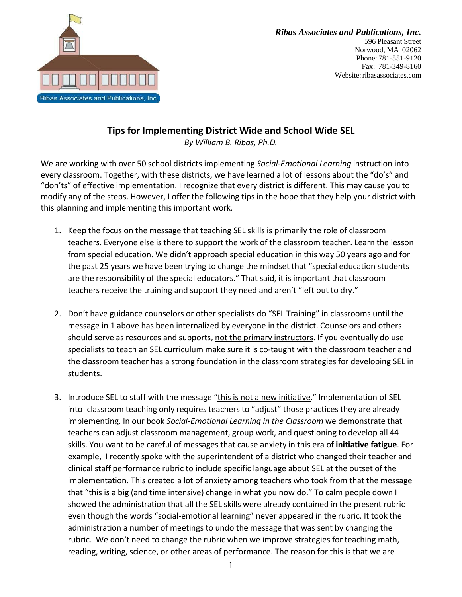

## **Tips for Implementing District Wide and School Wide SEL**

*By William B. Ribas, Ph.D.*

We are working with over 50 school districts implementing *Social-Emotional Learning* instruction into every classroom. Together, with these districts, we have learned a lot of lessons about the "do's" and "don'ts" of effective implementation. I recognize that every district is different. This may cause you to modify any of the steps. However, I offer the following tips in the hope that they help your district with this planning and implementing this important work.

- 1. Keep the focus on the message that teaching SEL skills is primarily the role of classroom teachers. Everyone else is there to support the work of the classroom teacher. Learn the lesson from special education. We didn't approach special education in this way 50 years ago and for the past 25 years we have been trying to change the mindset that "special education students are the responsibility of the special educators." That said, it is important that classroom teachers receive the training and support they need and aren't "left out to dry."
- 2. Don't have guidance counselors or other specialists do "SEL Training" in classrooms until the message in 1 above has been internalized by everyone in the district. Counselors and others should serve as resources and supports, not the primary instructors. If you eventually do use specialists to teach an SEL curriculum make sure it is co-taught with the classroom teacher and the classroom teacher has a strong foundation in the classroom strategies for developing SEL in students.
- 3. Introduce SEL to staff with the message "this is not a new initiative." Implementation of SEL into classroom teaching only requires teachers to "adjust" those practices they are already implementing. In our book *Social-Emotional Learning in the Classroom* we demonstrate that teachers can adjust classroom management, group work, and questioning to develop all 44 skills. You want to be careful of messages that cause anxiety in this era of **initiative fatigue**. For example, I recently spoke with the superintendent of a district who changed their teacher and clinical staff performance rubric to include specific language about SEL at the outset of the implementation. This created a lot of anxiety among teachers who took from that the message that "this is a big (and time intensive) change in what you now do." To calm people down I showed the administration that all the SEL skills were already contained in the present rubric even though the words "social-emotional learning" never appeared in the rubric. It took the administration a number of meetings to undo the message that was sent by changing the rubric. We don't need to change the rubric when we improve strategies for teaching math, reading, writing, science, or other areas of performance. The reason for this is that we are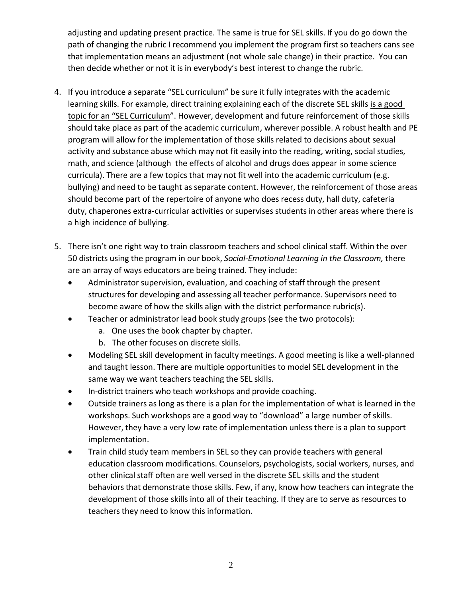adjusting and updating present practice. The same is true for SEL skills. If you do go down the path of changing the rubric I recommend you implement the program first so teachers cans see that implementation means an adjustment (not whole sale change) in their practice. You can then decide whether or not it is in everybody's best interest to change the rubric.

- 4. If you introduce a separate "SEL curriculum" be sure it fully integrates with the academic learning skills. For example, direct training explaining each of the discrete SEL skills is a good topic for an "SEL Curriculum". However, development and future reinforcement of those skills should take place as part of the academic curriculum, wherever possible. A robust health and PE program will allow for the implementation of those skills related to decisions about sexual activity and substance abuse which may not fit easily into the reading, writing, social studies, math, and science (although the effects of alcohol and drugs does appear in some science curricula). There are a few topics that may not fit well into the academic curriculum (e.g. bullying) and need to be taught as separate content. However, the reinforcement of those areas should become part of the repertoire of anyone who does recess duty, hall duty, cafeteria duty, chaperones extra-curricular activities or supervises students in other areas where there is a high incidence of bullying.
- 5. There isn't one right way to train classroom teachers and school clinical staff. Within the over 50 districts using the program in our book, *Social-Emotional Learning in the Classroom,* there are an array of ways educators are being trained. They include:
	- Administrator supervision, evaluation, and coaching of staff through the present structures for developing and assessing all teacher performance. Supervisors need to become aware of how the skills align with the district performance rubric(s).
	- Teacher or administrator lead book study groups (see the two protocols):
		- a. One uses the book chapter by chapter.
		- b. The other focuses on discrete skills.
	- Modeling SEL skill development in faculty meetings. A good meeting is like a well-planned and taught lesson. There are multiple opportunities to model SEL development in the same way we want teachers teaching the SEL skills.
	- In-district trainers who teach workshops and provide coaching.
	- Outside trainers as long as there is a plan for the implementation of what is learned in the workshops. Such workshops are a good way to "download" a large number of skills. However, they have a very low rate of implementation unless there is a plan to support implementation.
	- Train child study team members in SEL so they can provide teachers with general education classroom modifications. Counselors, psychologists, social workers, nurses, and other clinical staff often are well versed in the discrete SEL skills and the student behaviors that demonstrate those skills. Few, if any, know how teachers can integrate the development of those skills into all of their teaching. If they are to serve as resources to teachers they need to know this information.